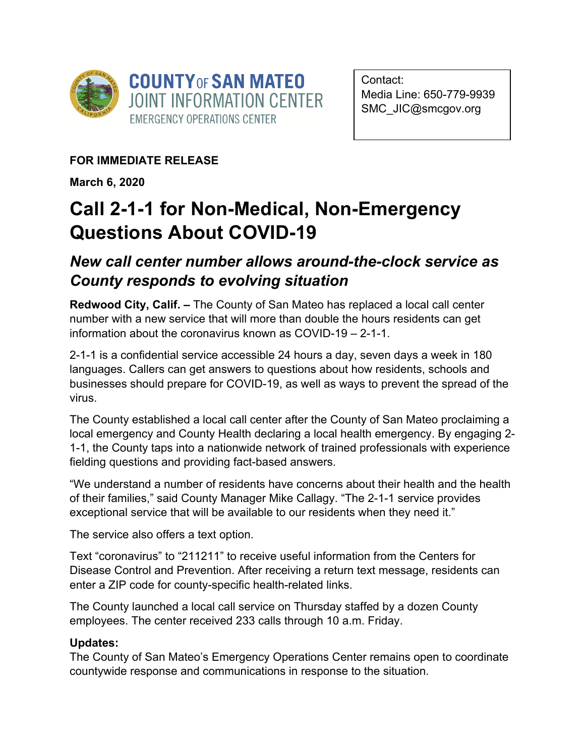

Contact: Media Line: 650-779-9939 SMC\_JIC@smcgov.org

**FOR IMMEDIATE RELEASE**

**March 6, 2020**

## **Call 2-1-1 for Non-Medical, Non-Emergency Questions About COVID-19**

## *New call center number allows around-the-clock service as County responds to evolving situation*

**Redwood City, Calif. –** The County of San Mateo has replaced a local call center number with a new service that will more than double the hours residents can get information about the coronavirus known as COVID-19 – 2-1-1.

2-1-1 is a confidential service accessible 24 hours a day, seven days a week in 180 languages. Callers can get answers to questions about how residents, schools and businesses should prepare for COVID-19, as well as ways to prevent the spread of the virus.

The County established a local call center after the County of San Mateo proclaiming a local emergency and County Health declaring a local health emergency. By engaging 2- 1-1, the County taps into a nationwide network of trained professionals with experience fielding questions and providing fact-based answers.

"We understand a number of residents have concerns about their health and the health of their families," said County Manager Mike Callagy. "The 2-1-1 service provides exceptional service that will be available to our residents when they need it."

The service also offers a text option.

Text "coronavirus" to "211211" to receive useful information from the Centers for Disease Control and Prevention. After receiving a return text message, residents can enter a ZIP code for county-specific health-related links.

The County launched a local call service on Thursday staffed by a dozen County employees. The center received 233 calls through 10 a.m. Friday.

## **Updates:**

The County of San Mateo's Emergency Operations Center remains open to coordinate countywide response and communications in response to the situation.